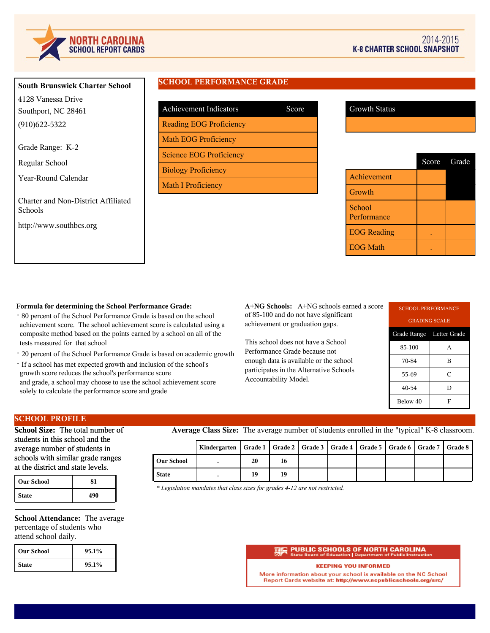

# **South Brunswick Charter School** 4128 Vanessa Drive

Southport, NC 28461 (910)622-5322

Grade Range: K-2

Regular School

Year-Round Calendar

Charter and Non-District Affiliated Schools

http://www.southbcs.org

# **SCHOOL PERFORMANCE GRADE**

| <b>Achievement Indicators</b>  | Score |
|--------------------------------|-------|
| <b>Reading EOG Proficiency</b> |       |
| <b>Math EOG Proficiency</b>    |       |
| <b>Science EOG Proficiency</b> |       |
| <b>Biology Proficiency</b>     |       |
| <b>Math I Proficiency</b>      |       |

|                       | Score Grade |
|-----------------------|-------------|
| Achievement           |             |
| Growth                |             |
| School<br>Performance |             |
| <b>EOG</b> Reading    |             |
| <b>EOG Math</b>       |             |

## **Formula for determining the School Performance Grade:**

- · 80 percent of the School Performance Grade is based on the school achievement score. The school achievement score is calculated using a composite method based on the points earned by a school on all of the tests measured for that school
- · 20 percent of the School Performance Grade is based on academic growth
- · If a school has met expected growth and inclusion of the school's growth score reduces the school's performance score and grade, a school may choose to use the school achievement score solely to calculate the performance score and grade

**A+NG Schools:** A+NG schools earned a score of 85-100 and do not have significant achievement or graduation gaps.

This school does not have a School Performance Grade because not enough data is available or the school participates in the Alternative Schools Accountability Model.

| <b>SCHOOL PERFORMANCE</b> |                      |  |  |  |
|---------------------------|----------------------|--|--|--|
|                           | <b>GRADING SCALE</b> |  |  |  |
| Grade Range Letter Grade  |                      |  |  |  |
| 85-100                    | A                    |  |  |  |
| 70-84<br>B                |                      |  |  |  |
| C<br>55-69                |                      |  |  |  |
| 40-54<br>D                |                      |  |  |  |
| Below 40<br>F             |                      |  |  |  |

# **SCHOOL PROFILE**

**School Size:** The total number of students in this school and the average number of students in schools with similar grade ranges at the district and state levels.

| <b>Our School</b> |     |
|-------------------|-----|
| <b>State</b>      | 490 |

**School Attendance:** The average percentage of students who attend school daily.

| l Our School | 95.1% |
|--------------|-------|
| <b>State</b> | 95.1% |

**Average Class Size:** The average number of students enrolled in the "typical" K-8 classroom.

|                   | Kindergarten   Grade 1   Grade 2   Grade 3   Grade 4   Grade 5   Grade 6   Grade 7   Grade 8 |    |    |  |  |  |
|-------------------|----------------------------------------------------------------------------------------------|----|----|--|--|--|
| <b>Our School</b> |                                                                                              | 20 | 16 |  |  |  |
| <b>State</b>      |                                                                                              | 19 | 19 |  |  |  |

*\* Legislation mandates that class sizes for grades 4-12 are not restricted.*

#### **PUBLIC SCHOOLS OF NORTH CAROLINA**<br>State Board of Education | Department of Public Instructi on | Depart

#### **KEEPING YOU INFORMED**

More information about your school is available on the NC School Report Cards website at: http://www.ncpublicschools.org/src/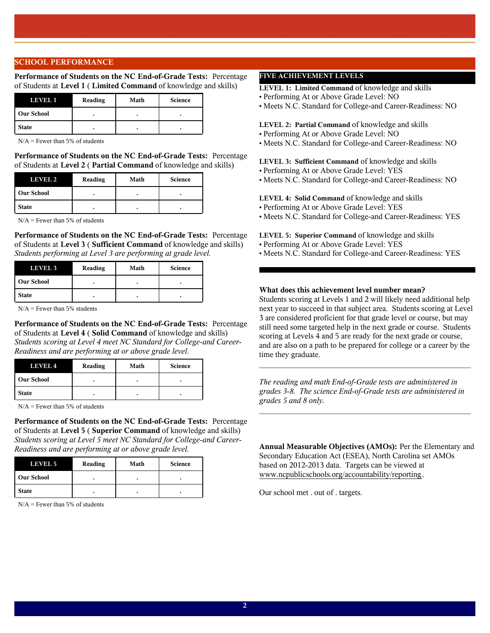### **SCHOOL PERFORMANCE**

**Performance of Students on the NC End-of-Grade Tests:** Percentage of Students at **Level 1** ( **Limited Command** of knowledge and skills)

| LEVEL 1           | Reading | Math | <b>Science</b> |
|-------------------|---------|------|----------------|
| <b>Our School</b> |         |      |                |
| <b>State</b>      |         |      |                |

 $N/A$  = Fewer than 5% of students

**Performance of Students on the NC End-of-Grade Tests:** Percentage of Students at **Level 2** ( **Partial Command** of knowledge and skills)

| LEVEL 2           | Reading | Math | <b>Science</b> |
|-------------------|---------|------|----------------|
| <b>Our School</b> |         |      |                |
| <b>State</b>      |         |      | ٠              |

 $N/A =$  Fewer than 5% of students

**Performance of Students on the NC End-of-Grade Tests:** Percentage of Students at **Level 3** ( **Sufficient Command** of knowledge and skills) *Students performing at Level 3 are performing at grade level.*

| <b>LEVEL 3</b> | Reading | Math | <b>Science</b> |
|----------------|---------|------|----------------|
| Our School     |         |      |                |
| <b>State</b>   |         |      |                |

 $N/A$  = Fewer than 5% students

**Performance of Students on the NC End-of-Grade Tests:** Percentage of Students at **Level 4** ( **Solid Command** of knowledge and skills) *Students scoring at Level 4 meet NC Standard for College-and Career-Readiness and are performing at or above grade level.*

| LEVEL 4      | Reading | Math | <b>Science</b> |
|--------------|---------|------|----------------|
| l Our School |         |      |                |
| <b>State</b> |         |      |                |

 $N/A$  = Fewer than 5% of students

**Performance of Students on the NC End-of-Grade Tests:** Percentage of Students at **Level 5** ( **Superior Command** of knowledge and skills) *Students scoring at Level 5 meet NC Standard for College-and Career-Readiness and are performing at or above grade level.*

| LEVEL 5           | Reading | Math | <b>Science</b> |
|-------------------|---------|------|----------------|
| <b>Our School</b> |         |      |                |
| <b>State</b>      |         |      |                |

 $N/A$  = Fewer than 5% of students

# **FIVE ACHIEVEMENT LEVELS**

**LEVEL 1: Limited Command** of knowledge and skills

- Performing At or Above Grade Level: NO
- Meets N.C. Standard for College-and Career-Readiness: NO

### **LEVEL 2: Partial Command** of knowledge and skills

- Performing At or Above Grade Level: NO
- Meets N.C. Standard for College-and Career-Readiness: NO

**LEVEL 3: Sufficient Command** of knowledge and skills

- Performing At or Above Grade Level: YES
- Meets N.C. Standard for College-and Career-Readiness: NO

### **LEVEL 4: Solid Command** of knowledge and skills

- Performing At or Above Grade Level: YES
- Meets N.C. Standard for College-and Career-Readiness: YES
- **LEVEL 5: Superior Command** of knowledge and skills
- Performing At or Above Grade Level: YES
- Meets N.C. Standard for College-and Career-Readiness: YES

## **What does this achievement level number mean?**

Students scoring at Levels 1 and 2 will likely need additional help next year to succeed in that subject area. Students scoring at Level 3 are considered proficient for that grade level or course, but may still need some targeted help in the next grade or course. Students scoring at Levels 4 and 5 are ready for the next grade or course, and are also on a path to be prepared for college or a career by the time they graduate.

*The reading and math End-of-Grade tests are administered in grades 3-8. The science End-of-Grade tests are administered in grades 5 and 8 only.*

 $\mathcal{L}_\text{max}$  and  $\mathcal{L}_\text{max}$  and  $\mathcal{L}_\text{max}$  and  $\mathcal{L}_\text{max}$  and  $\mathcal{L}_\text{max}$ 

 $\mathcal{L}_\text{max}$  and the contract of the contract of the contract of the contract of the contract of the contract of the contract of the contract of the contract of the contract of the contract of the contract of the contrac

**Annual Measurable Objectives (AMOs):** Per the Elementary and Secondary Education Act (ESEA), North Carolina set AMOs based on 2012-2013 data. Targets can be viewed at www.ncpublicschools.org/accountability/reporting.

Our school met . out of . targets.